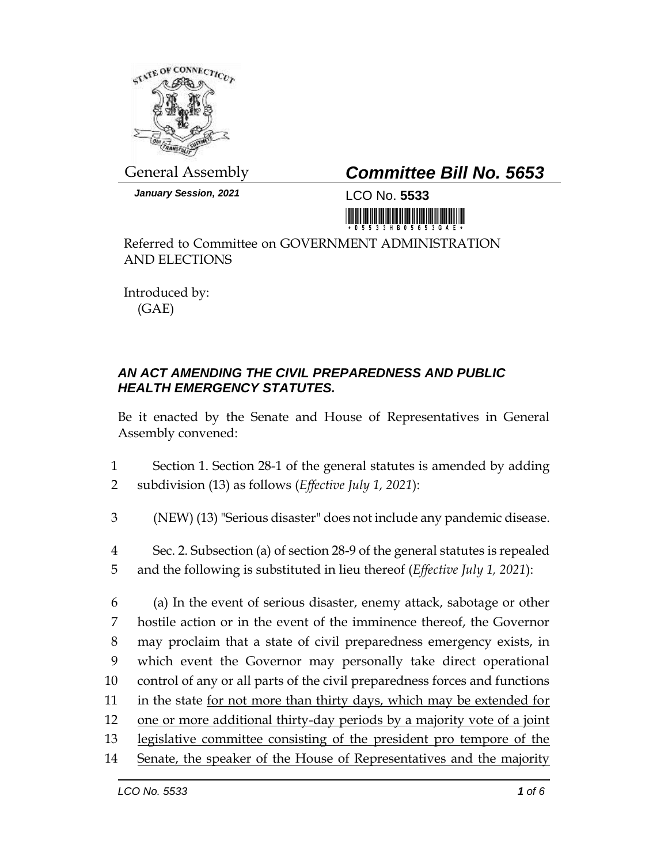

*January Session, 2021* LCO No. **5533**

## General Assembly *Committee Bill No. 5653*

Referred to Committee on GOVERNMENT ADMINISTRATION AND ELECTIONS

Introduced by: (GAE)

## *AN ACT AMENDING THE CIVIL PREPAREDNESS AND PUBLIC HEALTH EMERGENCY STATUTES.*

Be it enacted by the Senate and House of Representatives in General Assembly convened:

1 Section 1. Section 28-1 of the general statutes is amended by adding 2 subdivision (13) as follows (*Effective July 1, 2021*):

- 3 (NEW) (13) "Serious disaster" does not include any pandemic disease.
- 4 Sec. 2. Subsection (a) of section 28-9 of the general statutes is repealed 5 and the following is substituted in lieu thereof (*Effective July 1, 2021*):

 (a) In the event of serious disaster, enemy attack, sabotage or other hostile action or in the event of the imminence thereof, the Governor may proclaim that a state of civil preparedness emergency exists, in which event the Governor may personally take direct operational control of any or all parts of the civil preparedness forces and functions 11 in the state <u>for not more than thirty days</u>, which may be extended for one or more additional thirty-day periods by a majority vote of a joint legislative committee consisting of the president pro tempore of the 14 Senate, the speaker of the House of Representatives and the majority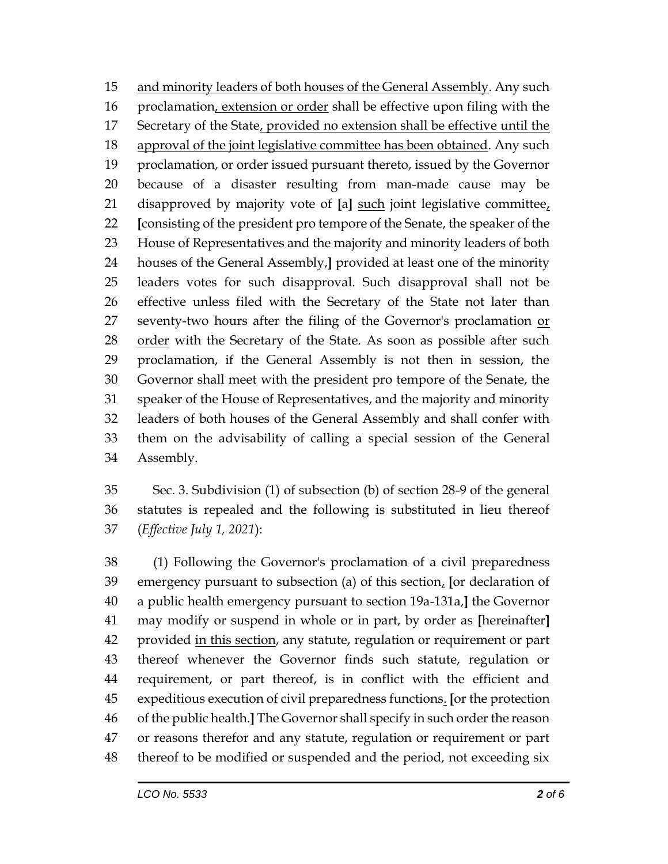15 and minority leaders of both houses of the General Assembly. Any such 16 proclamation, extension or order shall be effective upon filing with the Secretary of the State, provided no extension shall be effective until the approval of the joint legislative committee has been obtained. Any such proclamation, or order issued pursuant thereto, issued by the Governor because of a disaster resulting from man-made cause may be disapproved by majority vote of **[**a**]** such joint legislative committee, **[**consisting of the president pro tempore of the Senate, the speaker of the House of Representatives and the majority and minority leaders of both houses of the General Assembly,**]** provided at least one of the minority leaders votes for such disapproval. Such disapproval shall not be effective unless filed with the Secretary of the State not later than 27 seventy-two hours after the filing of the Governor's proclamation or 28 order with the Secretary of the State. As soon as possible after such proclamation, if the General Assembly is not then in session, the Governor shall meet with the president pro tempore of the Senate, the speaker of the House of Representatives, and the majority and minority leaders of both houses of the General Assembly and shall confer with them on the advisability of calling a special session of the General Assembly.

 Sec. 3. Subdivision (1) of subsection (b) of section 28-9 of the general statutes is repealed and the following is substituted in lieu thereof (*Effective July 1, 2021*):

 (1) Following the Governor's proclamation of a civil preparedness emergency pursuant to subsection (a) of this section, **[**or declaration of a public health emergency pursuant to section 19a-131a,**]** the Governor may modify or suspend in whole or in part, by order as **[**hereinafter**]** 42 provided in this section, any statute, regulation or requirement or part thereof whenever the Governor finds such statute, regulation or requirement, or part thereof, is in conflict with the efficient and expeditious execution of civil preparedness functions. **[**or the protection of the public health.**]** The Governor shall specify in such order the reason or reasons therefor and any statute, regulation or requirement or part thereof to be modified or suspended and the period, not exceeding six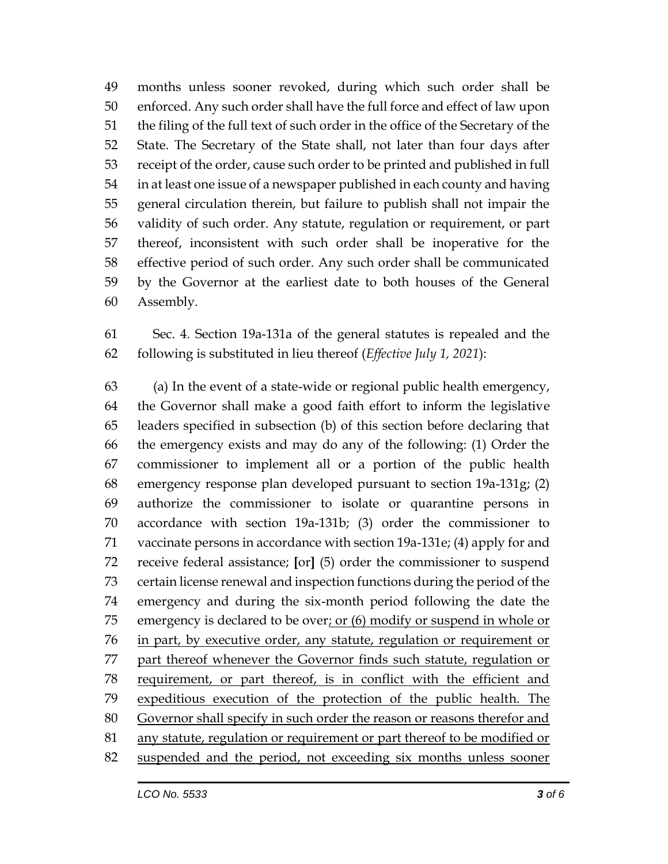months unless sooner revoked, during which such order shall be enforced. Any such order shall have the full force and effect of law upon the filing of the full text of such order in the office of the Secretary of the State. The Secretary of the State shall, not later than four days after receipt of the order, cause such order to be printed and published in full in at least one issue of a newspaper published in each county and having general circulation therein, but failure to publish shall not impair the validity of such order. Any statute, regulation or requirement, or part thereof, inconsistent with such order shall be inoperative for the effective period of such order. Any such order shall be communicated by the Governor at the earliest date to both houses of the General Assembly.

 Sec. 4. Section 19a-131a of the general statutes is repealed and the following is substituted in lieu thereof (*Effective July 1, 2021*):

 (a) In the event of a state-wide or regional public health emergency, the Governor shall make a good faith effort to inform the legislative leaders specified in subsection (b) of this section before declaring that the emergency exists and may do any of the following: (1) Order the commissioner to implement all or a portion of the public health emergency response plan developed pursuant to section 19a-131g; (2) authorize the commissioner to isolate or quarantine persons in accordance with section 19a-131b; (3) order the commissioner to vaccinate persons in accordance with section 19a-131e; (4) apply for and receive federal assistance; **[**or**]** (5) order the commissioner to suspend certain license renewal and inspection functions during the period of the emergency and during the six-month period following the date the emergency is declared to be over; or (6) modify or suspend in whole or in part, by executive order, any statute, regulation or requirement or part thereof whenever the Governor finds such statute, regulation or requirement, or part thereof, is in conflict with the efficient and expeditious execution of the protection of the public health. The Governor shall specify in such order the reason or reasons therefor and any statute, regulation or requirement or part thereof to be modified or suspended and the period, not exceeding six months unless sooner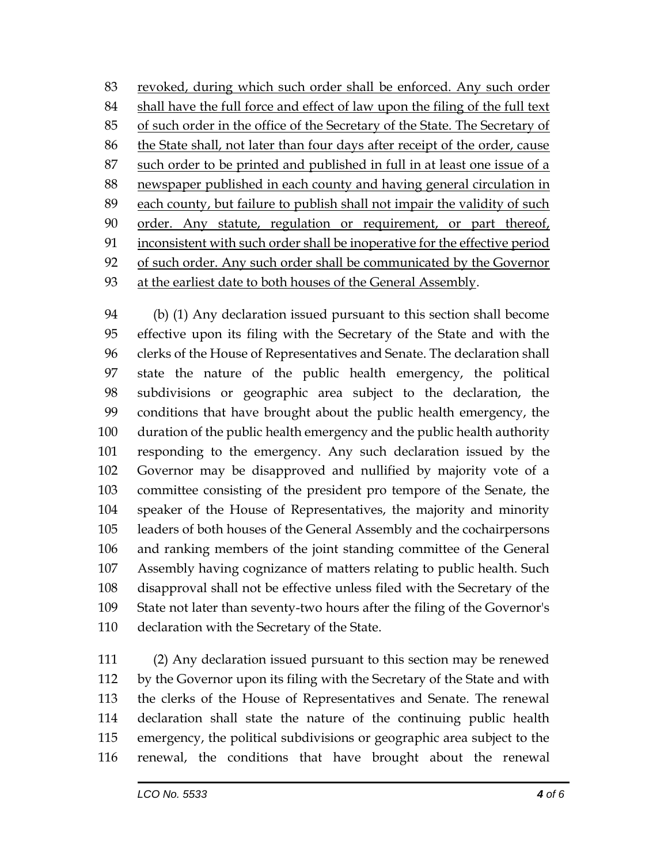revoked, during which such order shall be enforced. Any such order shall have the full force and effect of law upon the filing of the full text of such order in the office of the Secretary of the State. The Secretary of the State shall, not later than four days after receipt of the order, cause such order to be printed and published in full in at least one issue of a newspaper published in each county and having general circulation in each county, but failure to publish shall not impair the validity of such order. Any statute, regulation or requirement, or part thereof, inconsistent with such order shall be inoperative for the effective period 92 of such order. Any such order shall be communicated by the Governor at the earliest date to both houses of the General Assembly.

 (b) (1) Any declaration issued pursuant to this section shall become effective upon its filing with the Secretary of the State and with the clerks of the House of Representatives and Senate. The declaration shall state the nature of the public health emergency, the political subdivisions or geographic area subject to the declaration, the conditions that have brought about the public health emergency, the duration of the public health emergency and the public health authority responding to the emergency. Any such declaration issued by the Governor may be disapproved and nullified by majority vote of a committee consisting of the president pro tempore of the Senate, the speaker of the House of Representatives, the majority and minority leaders of both houses of the General Assembly and the cochairpersons and ranking members of the joint standing committee of the General Assembly having cognizance of matters relating to public health. Such disapproval shall not be effective unless filed with the Secretary of the State not later than seventy-two hours after the filing of the Governor's declaration with the Secretary of the State.

 (2) Any declaration issued pursuant to this section may be renewed by the Governor upon its filing with the Secretary of the State and with the clerks of the House of Representatives and Senate. The renewal declaration shall state the nature of the continuing public health emergency, the political subdivisions or geographic area subject to the renewal, the conditions that have brought about the renewal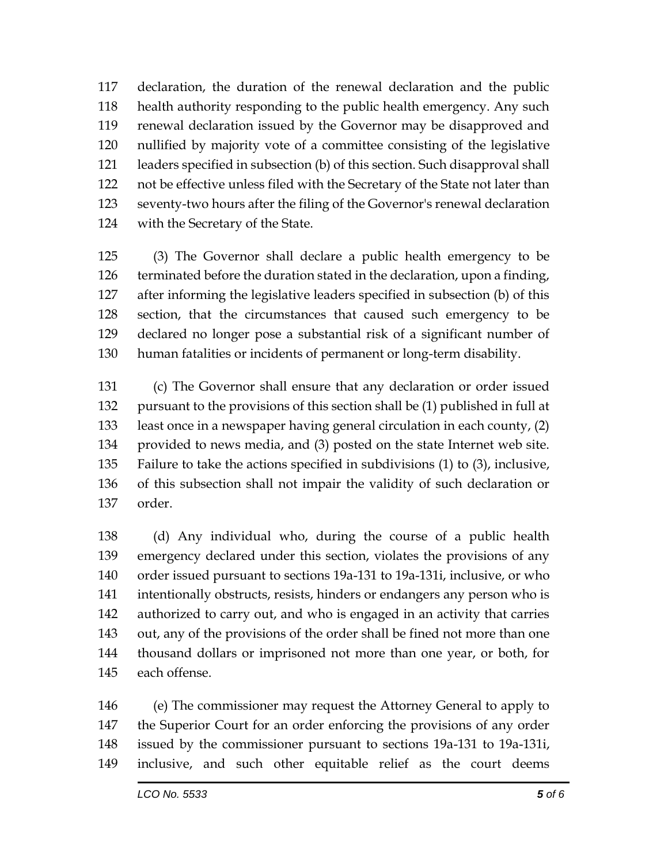declaration, the duration of the renewal declaration and the public health authority responding to the public health emergency. Any such renewal declaration issued by the Governor may be disapproved and nullified by majority vote of a committee consisting of the legislative leaders specified in subsection (b) of this section. Such disapproval shall not be effective unless filed with the Secretary of the State not later than seventy-two hours after the filing of the Governor's renewal declaration with the Secretary of the State.

 (3) The Governor shall declare a public health emergency to be terminated before the duration stated in the declaration, upon a finding, after informing the legislative leaders specified in subsection (b) of this section, that the circumstances that caused such emergency to be declared no longer pose a substantial risk of a significant number of human fatalities or incidents of permanent or long-term disability.

 (c) The Governor shall ensure that any declaration or order issued pursuant to the provisions of this section shall be (1) published in full at least once in a newspaper having general circulation in each county, (2) provided to news media, and (3) posted on the state Internet web site. Failure to take the actions specified in subdivisions (1) to (3), inclusive, of this subsection shall not impair the validity of such declaration or order.

 (d) Any individual who, during the course of a public health emergency declared under this section, violates the provisions of any order issued pursuant to sections 19a-131 to 19a-131i, inclusive, or who intentionally obstructs, resists, hinders or endangers any person who is authorized to carry out, and who is engaged in an activity that carries out, any of the provisions of the order shall be fined not more than one thousand dollars or imprisoned not more than one year, or both, for each offense.

 (e) The commissioner may request the Attorney General to apply to the Superior Court for an order enforcing the provisions of any order issued by the commissioner pursuant to sections 19a-131 to 19a-131i, inclusive, and such other equitable relief as the court deems